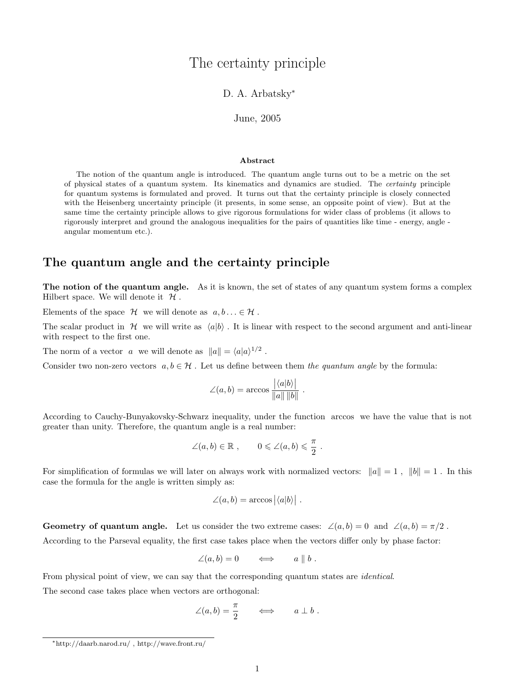# The certainty principle

### D. A. Arbatsky<sup>\*</sup>

### June, 2005

#### Abstract

The notion of the quantum angle is introduced. The quantum angle turns out to be a metric on the set of physical states of a quantum system. Its kinematics and dynamics are studied. The certainty principle for quantum systems is formulated and proved. It turns out that the certainty principle is closely connected with the Heisenberg uncertainty principle (it presents, in some sense, an opposite point of view). But at the same time the certainty principle allows to give rigorous formulations for wider class of problems (it allows to rigorously interpret and ground the analogous inequalities for the pairs of quantities like time - energy, angle angular momentum etc.).

## The quantum angle and the certainty principle

The notion of the quantum angle. As it is known, the set of states of any quantum system forms a complex Hilbert space. We will denote it  $\mathcal H$ .

Elements of the space  $\mathcal H$  we will denote as  $a, b \ldots \in \mathcal H$ .

The scalar product in H we will write as  $\langle a|b \rangle$ . It is linear with respect to the second argument and anti-linear with respect to the first one.

The norm of a vector a we will denote as  $||a|| = \langle a|a\rangle^{1/2}$ .

Consider two non-zero vectors  $a, b \in \mathcal{H}$ . Let us define between them the quantum angle by the formula:

$$
\angle(a,b) = \arccos \frac{|\langle a|b \rangle|}{\|a\| \|b\|} .
$$

According to Cauchy-Bunyakovsky-Schwarz inequality, under the function arccos we have the value that is not greater than unity. Therefore, the quantum angle is a real number:

$$
\angle(a,b) \in \mathbb{R}
$$
,  $0 \le \angle(a,b) \le \frac{\pi}{2}$ .

For simplification of formulas we will later on always work with normalized vectors:  $||a|| = 1$ ,  $||b|| = 1$ . In this case the formula for the angle is written simply as:

$$
\angle(a,b) = \arccos \left| \langle a|b \rangle \right| .
$$

Geometry of quantum angle. Let us consider the two extreme cases:  $\angle(a, b) = 0$  and  $\angle(a, b) = \pi/2$ .

According to the Parseval equality, the first case takes place when the vectors differ only by phase factor:

$$
\angle(a,b) = 0 \qquad \Longleftrightarrow \qquad a \parallel b .
$$

From physical point of view, we can say that the corresponding quantum states are *identical*.

The second case takes place when vectors are orthogonal:

$$
\angle(a,b) = \frac{\pi}{2} \qquad \Longleftrightarrow \qquad a \perp b .
$$

<sup>∗</sup>http://daarb.narod.ru/ , http://wave.front.ru/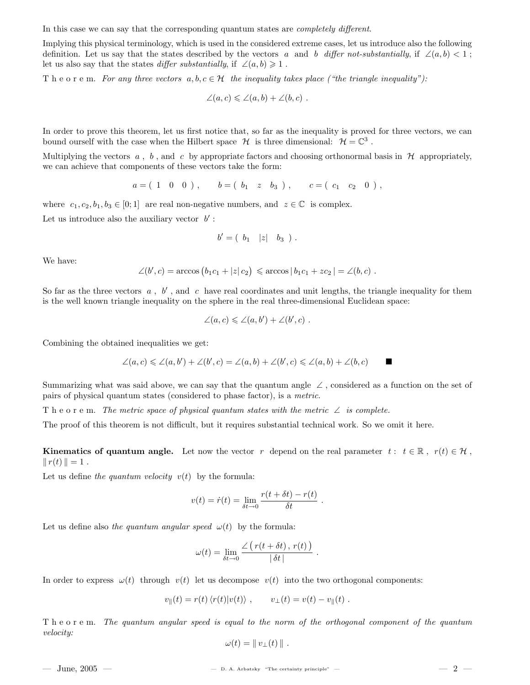In this case we can say that the corresponding quantum states are *completely different*.

Implying this physical terminology, which is used in the considered extreme cases, let us introduce also the following definition. Let us say that the states described by the vectors a and b differ not-substantially, if  $\angle(a, b) < 1$ ; let us also say that the states *differ substantially*, if  $\angle(a, b) \geq 1$ .

The order m. For any three vectors  $a, b, c \in \mathcal{H}$  the inequality takes place ("the triangle inequality"):

$$
\angle(a,c) \leqslant \angle(a,b) + \angle(b,c) .
$$

In order to prove this theorem, let us first notice that, so far as the inequality is proved for three vectors, we can bound ourself with the case when the Hilbert space  $\mathcal H$  is three dimensional:  $\mathcal H = \mathbb C^3$ .

Multiplying the vectors  $a, b$ , and c by appropriate factors and choosing orthonormal basis in  $H$  appropriately, we can achieve that components of these vectors take the form:

$$
a = (1 \ 0 \ 0), \qquad b = (b_1 \ z \ b_3), \qquad c = (c_1 \ c_2 \ 0),
$$

where  $c_1, c_2, b_1, b_3 \in [0, 1]$  are real non-negative numbers, and  $z \in \mathbb{C}$  is complex. Let us introduce also the auxiliary vector  $b'$ :

$$
b' = (b_1 \mid z \mid b_3).
$$

We have:

$$
\angle(b',c) = \arccos(b_1c_1 + |z|c_2) \le \arccos|b_1c_1 + zc_2| = \angle(b,c).
$$

So far as the three vectors  $a, b'$ , and  $c$  have real coordinates and unit lengths, the triangle inequality for them is the well known triangle inequality on the sphere in the real three-dimensional Euclidean space:

$$
\angle(a,c) \leqslant \angle(a,b') + \angle(b',c) .
$$

Combining the obtained inequalities we get:

$$
\angle(a,c) \leq \angle(a,b') + \angle(b',c) = \angle(a,b) + \angle(b',c) \leq \angle(a,b) + \angle(b,c)
$$

Summarizing what was said above, we can say that the quantum angle  $\angle$ , considered as a function on the set of pairs of physical quantum states (considered to phase factor), is a metric.

The orderm. The metric space of physical quantum states with the metric  $\angle$  is complete.

The proof of this theorem is not difficult, but it requires substantial technical work. So we omit it here.

**Kinematics of quantum angle.** Let now the vector r depend on the real parameter  $t : t \in \mathbb{R}$ ,  $r(t) \in \mathcal{H}$ ,  $||r(t)|| = 1$ .

Let us define the quantum velocity  $v(t)$  by the formula:

$$
v(t) = \dot{r}(t) = \lim_{\delta t \to 0} \frac{r(t + \delta t) - r(t)}{\delta t}.
$$

Let us define also the quantum angular speed  $\omega(t)$  by the formula:

$$
\omega(t) = \lim_{\delta t \to 0} \frac{\angle (r(t + \delta t), r(t))}{|\delta t|}.
$$

In order to express  $\omega(t)$  through  $v(t)$  let us decompose  $v(t)$  into the two orthogonal components:

$$
v_{\parallel}(t) = r(t) \langle r(t) | v(t) \rangle , \qquad v_{\perp}(t) = v(t) - v_{\parallel}(t) .
$$

T h e o r e m. The quantum angular speed is equal to the norm of the orthogonal component of the quantum velocity:

$$
\omega(t) = || v_{\perp}(t) ||.
$$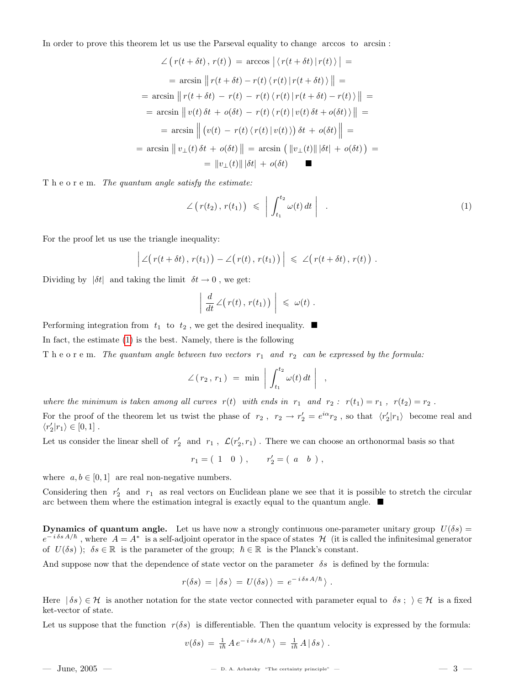In order to prove this theorem let us use the Parseval equality to change arccos to arcsin :

$$
\angle (r(t + \delta t), r(t)) = \arccos |\langle r(t + \delta t)|r(t) \rangle| =
$$
  
\n
$$
= \arcsin ||r(t + \delta t) - r(t) \langle r(t)|r(t + \delta t) \rangle|| =
$$
  
\n
$$
= \arcsin ||r(t + \delta t) - r(t) - r(t) \langle r(t)|r(t + \delta t) - r(t) \rangle|| =
$$
  
\n
$$
= \arcsin ||v(t)\delta t + o(\delta t) - r(t) \langle r(t)|v(t)\delta t + o(\delta t) \rangle|| =
$$
  
\n
$$
= \arcsin ||(v(t) - r(t) \langle r(t)|v(t) \rangle) \delta t + o(\delta t)|| =
$$
  
\n
$$
= \arcsin ||v_{\perp}(t)\delta t + o(\delta t)|| = \arcsin (||v_{\perp}(t)||\delta t| + o(\delta t)) =
$$
  
\n
$$
= ||v_{\perp}(t)||\delta t| + o(\delta t)
$$

T h e o r e m. The quantum angle satisfy the estimate:

<span id="page-2-0"></span>
$$
\angle (r(t_2), r(t_1)) \leqslant \left| \int_{t_1}^{t_2} \omega(t) dt \right| . \tag{1}
$$

For the proof let us use the triangle inequality:

$$
\Big|\angle\big(r(t+\delta t),r(t_1)\big)-\angle\big(r(t),r(t_1)\big)\Big|\ \leqslant\ \angle\big(r(t+\delta t),r(t)\big)\ .
$$

Dividing by  $|\delta t|$  and taking the limit  $\delta t \to 0$ , we get:

$$
\left| \frac{d}{dt} \angle (r(t), r(t_1)) \right| \leq \omega(t) .
$$

Performing integration from  $t_1$  to  $t_2$ , we get the desired inequality.  $\blacksquare$ 

In fact, the estimate [\(1\)](#page-2-0) is the best. Namely, there is the following

The order m. The quantum angle between two vectors  $r_1$  and  $r_2$  can be expressed by the formula:

$$
\angle(r_2, r_1) = \min \left| \int_{t_1}^{t_2} \omega(t) dt \right| ,
$$

where the minimum is taken among all curves  $r(t)$  with ends in  $r_1$  and  $r_2$ :  $r(t_1) = r_1$ ,  $r(t_2) = r_2$ . For the proof of the theorem let us twist the phase of  $r_2$ ,  $r_2 \to r'_2 = e^{i\alpha} r_2$ , so that  $\langle r'_2 | r_1 \rangle$  become real and  $\langle r_2'|r_1\rangle\in[0,1]$  .

Let us consider the linear shell of  $r'_2$  and  $r_1$ ,  $\mathcal{L}(r'_2,r_1)$ . There we can choose an orthonormal basis so that

$$
r_1 = (1 \ 0), \quad r'_2 = (a \ b),
$$

where  $a, b \in [0, 1]$  are real non-negative numbers.

Considering then  $r'_2$  and  $r_1$  as real vectors on Euclidean plane we see that it is possible to stretch the circular arc between them where the estimation integral is exactly equal to the quantum angle.  $\blacksquare$ 

**Dynamics of quantum angle.** Let us have now a strongly continuous one-parameter unitary group  $U(\delta s)$  $e^{-i\delta s A/\hbar}$ , where  $A = A^*$  is a self-adjoint operator in the space of states H (it is called the infinitesimal generator of  $U(\delta s)$ ;  $\delta s \in \mathbb{R}$  is the parameter of the group;  $\hbar \in \mathbb{R}$  is the Planck's constant.

And suppose now that the dependence of state vector on the parameter  $\delta s$  is defined by the formula:

$$
r(\delta s) = |\delta s\rangle = U(\delta s)\rangle = e^{-i \delta s A/\hbar}\rangle.
$$

Here  $|\delta s\rangle \in \mathcal{H}$  is another notation for the state vector connected with parameter equal to  $\delta s$ ;  $\rangle \in \mathcal{H}$  is a fixed ket-vector of state.

Let us suppose that the function  $r(\delta s)$  is differentiable. Then the quantum velocity is expressed by the formula:

$$
v(\delta s) = \frac{1}{i\hbar} A e^{-i \delta s A/\hbar} \rangle = \frac{1}{i\hbar} A |\delta s \rangle.
$$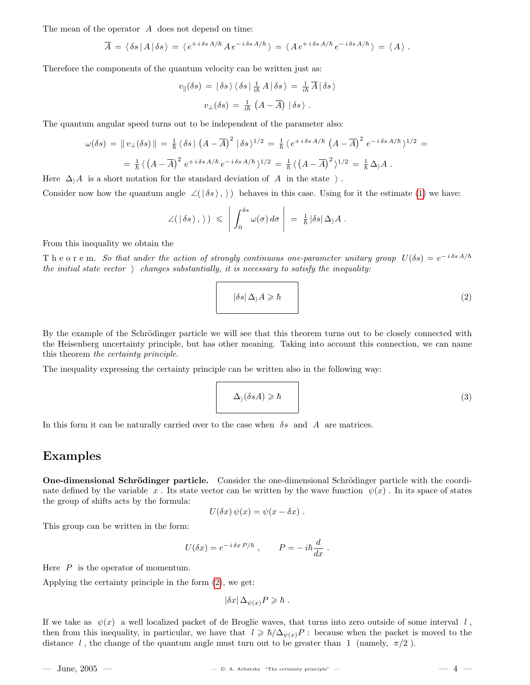The mean of the operator A does not depend on time:

$$
\overline{A} = \langle \delta s | A | \delta s \rangle = \langle e^{+i \delta s A/\hbar} A e^{-i \delta s A/\hbar} \rangle = \langle A e^{+i \delta s A/\hbar} e^{-i \delta s A/\hbar} \rangle = \langle A \rangle.
$$

Therefore the components of the quantum velocity can be written just as:

$$
v_{\parallel}(\delta s) = |\delta s\rangle \langle \delta s| \frac{1}{i\hbar} A |\delta s\rangle = \frac{1}{i\hbar} \overline{A} |\delta s\rangle
$$

$$
v_{\perp}(\delta s) = \frac{1}{i\hbar} (A - \overline{A}) |\delta s\rangle.
$$

The quantum angular speed turns out to be independent of the parameter also:

$$
\omega(\delta s) = ||v_{\perp}(\delta s)|| = \frac{1}{\hbar} \langle \delta s | (A - \overline{A})^2 | \delta s \rangle^{1/2} = \frac{1}{\hbar} \langle e^{+i \delta s A/\hbar} (A - \overline{A})^2 e^{-i \delta s A/\hbar} \rangle^{1/2} =
$$
  

$$
= \frac{1}{\hbar} \langle (A - \overline{A})^2 e^{+i \delta s A/\hbar} e^{-i \delta s A/\hbar} \rangle^{1/2} = \frac{1}{\hbar} \langle (A - \overline{A})^2 \rangle^{1/2} = \frac{1}{\hbar} \Delta \rangle A.
$$

Here  $\Delta_i$  is a short notation for the standard deviation of A in the state  $\cdot$ .

Consider now how the quantum angle  $\angle(|\delta s\rangle, \rangle)$  behaves in this case. Using for it the estimate [\(1\)](#page-2-0) we have:

$$
\angle(\,|\,\delta s\,\rangle\,,\,\rangle\,) \;\leqslant\;\Bigg|\,\int_0^{\delta s}\omega(\sigma)\,d\sigma\,\Bigg|\;=\;\tfrac{1}{\hbar}\,|\delta s|\,\Delta_\rangle A\;.
$$

From this inequality we obtain the

The order m. So that under the action of strongly continuous one-parameter unitary group  $U(\delta s) = e^{-i \delta s A/\hbar}$ the initial state vector  $\setminus$  changes substantially, it is necessary to satisfy the inequality:

<span id="page-3-0"></span>
$$
|\delta s| \Delta_{\lambda} A \geqslant \hbar \tag{2}
$$

By the example of the Schrödinger particle we will see that this theorem turns out to be closely connected with the Heisenberg uncertainty principle, but has other meaning. Taking into account this connection, we can name this theorem the certainty principle.

The inequality expressing the certainty principle can be written also in the following way:

<span id="page-3-1"></span>
$$
\Delta_{\lambda}(\delta s A) \geqslant \hbar \tag{3}
$$

In this form it can be naturally carried over to the case when  $\delta s$  and A are matrices.

### Examples

One-dimensional Schrödinger particle. Consider the one-dimensional Schrödinger particle with the coordinate defined by the variable x. Its state vector can be written by the wave function  $\psi(x)$ . In its space of states the group of shifts acts by the formula:

$$
U(\delta x)\,\psi(x)=\psi(x-\delta x)\;.
$$

This group can be written in the form:

$$
U(\delta x) = e^{-i \delta x P/\hbar} , \qquad P = -i \hbar \frac{d}{dx} .
$$

Here  $P$  is the operator of momentum.

Applying the certainty principle in the form [\(2\)](#page-3-0), we get:

$$
|\delta x| \, \Delta_{\psi(x)} P \geqslant \hbar \; .
$$

If we take as  $\psi(x)$  a well localized packet of de Broglie waves, that turns into zero outside of some interval l, then from this inequality, in particular, we have that  $l \geq \hbar/\Delta_{\psi(x)}P$  : because when the packet is moved to the distance l, the change of the quantum angle must turn out to be greater than 1 (namely,  $\pi/2$ ).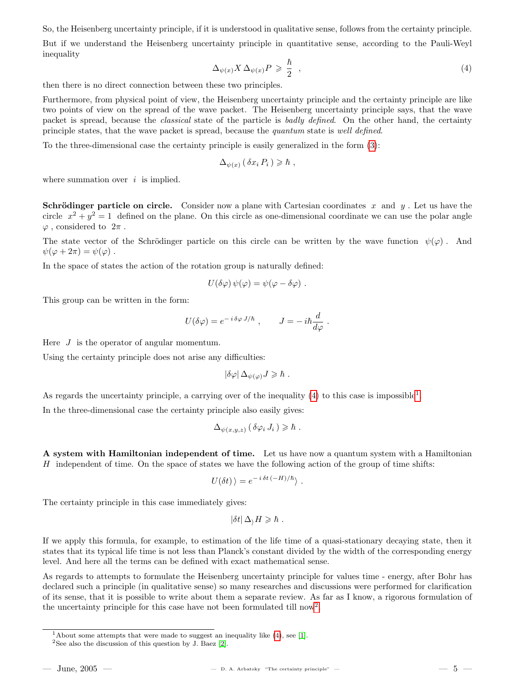So, the Heisenberg uncertainty principle, if it is understood in qualitative sense, follows from the certainty principle. But if we understand the Heisenberg uncertainty principle in quantitative sense, according to the Pauli-Weyl inequality

<span id="page-4-0"></span>
$$
\Delta_{\psi(x)} X \Delta_{\psi(x)} P \geq \frac{\hbar}{2} \quad , \tag{4}
$$

then there is no direct connection between these two principles.

Furthermore, from physical point of view, the Heisenberg uncertainty principle and the certainty principle are like two points of view on the spread of the wave packet. The Heisenberg uncertainty principle says, that the wave packet is spread, because the classical state of the particle is badly defined. On the other hand, the certainty principle states, that the wave packet is spread, because the quantum state is well defined.

To the three-dimensional case the certainty principle is easily generalized in the form [\(3\)](#page-3-1):

$$
\Delta_{\psi(x)} (\delta x_i P_i) \geqslant \hbar ,
$$

where summation over  $i$  is implied.

**Schrödinger particle on circle.** Consider now a plane with Cartesian coordinates x and y. Let us have the circle  $x^2 + y^2 = 1$  defined on the plane. On this circle as one-dimensional coordinate we can use the polar angle  $\varphi$ , considered to  $2\pi$ .

The state vector of the Schrödinger particle on this circle can be written by the wave function  $\psi(\varphi)$ . And  $\psi(\varphi + 2\pi) = \psi(\varphi)$ .

In the space of states the action of the rotation group is naturally defined:

$$
U(\delta\varphi)\,\psi(\varphi)=\psi(\varphi-\delta\varphi)\;.
$$

This group can be written in the form:

$$
U(\delta\varphi) = e^{-i \delta\varphi J/\hbar} , \qquad J = -i\hbar \frac{d}{d\varphi} .
$$

Here  $J$  is the operator of angular momentum.

Using the certainty principle does not arise any difficulties:

$$
|\delta\varphi| \,\Delta_{\psi(\varphi)} J \geqslant \hbar \; .
$$

As regards the uncertainty principle, a carrying over of the inequality  $(4)$  to this case is impossible<sup>[1](#page-4-1)</sup>.

In the three-dimensional case the certainty principle also easily gives:

$$
\Delta_{\psi(x,y,z)} (\delta \varphi_i J_i) \geq \hbar .
$$

A system with Hamiltonian independent of time. Let us have now a quantum system with a Hamiltonian H independent of time. On the space of states we have the following action of the group of time shifts:

$$
U(\delta t)\rangle = e^{-i \delta t \, (-H)/\hbar}\rangle \ .
$$

The certainty principle in this case immediately gives:

$$
|\delta t| \,\Delta_{\rangle} H \geqslant \hbar \;.
$$

If we apply this formula, for example, to estimation of the life time of a quasi-stationary decaying state, then it states that its typical life time is not less than Planck's constant divided by the width of the corresponding energy level. And here all the terms can be defined with exact mathematical sense.

As regards to attempts to formulate the Heisenberg uncertainty principle for values time - energy, after Bohr has declared such a principle (in qualitative sense) so many researches and discussions were performed for clarification of its sense, that it is possible to write about them a separate review. As far as I know, a rigorous formulation of the uncertainty principle for this case have not been formulated till now<sup>[2](#page-4-2)</sup>.

<span id="page-4-1"></span><sup>&</sup>lt;sup>1</sup>About some attempts that were made to suggest an inequality like  $(4)$ , see [\[1\]](#page-5-0).

<span id="page-4-2"></span><sup>&</sup>lt;sup>2</sup>See also the discussion of this question by J. Baez  $[2]$ .